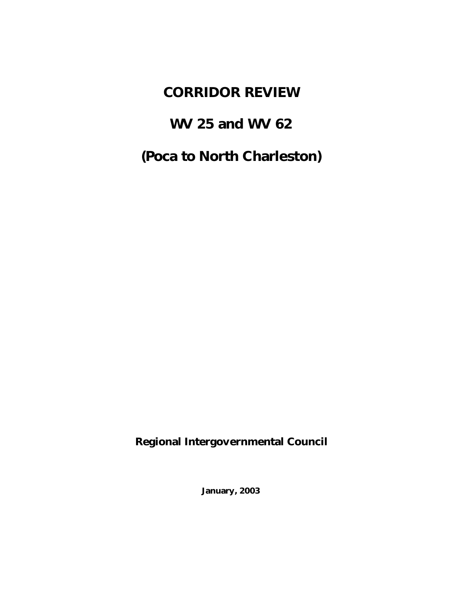# **CORRIDOR REVIEW**

# **WV 25 and WV 62**

# **(Poca to North Charleston)**

**Regional Intergovernmental Council**

**January, 2003**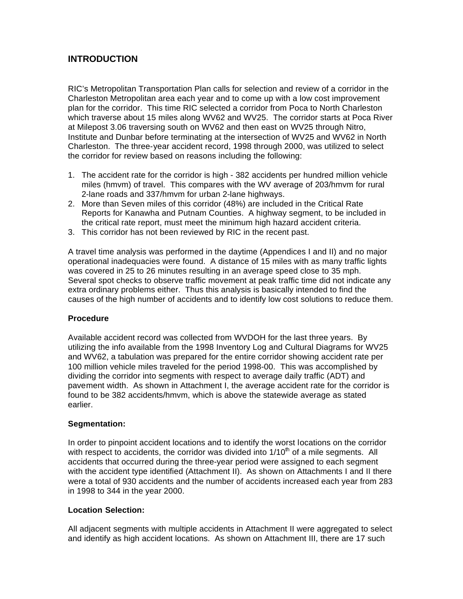# **INTRODUCTION**

RIC's Metropolitan Transportation Plan calls for selection and review of a corridor in the Charleston Metropolitan area each year and to come up with a low cost improvement plan for the corridor. This time RIC selected a corridor from Poca to North Charleston which traverse about 15 miles along WV62 and WV25. The corridor starts at Poca River at Milepost 3.06 traversing south on WV62 and then east on WV25 through Nitro, Institute and Dunbar before terminating at the intersection of WV25 and WV62 in North Charleston. The three-year accident record, 1998 through 2000, was utilized to select the corridor for review based on reasons including the following:

- 1. The accident rate for the corridor is high 382 accidents per hundred million vehicle miles (hmvm) of travel. This compares with the WV average of 203/hmvm for rural 2-lane roads and 337/hmvm for urban 2-lane highways.
- 2. More than Seven miles of this corridor (48%) are included in the Critical Rate Reports for Kanawha and Putnam Counties. A highway segment, to be included in the critical rate report, must meet the minimum high hazard accident criteria.
- 3. This corridor has not been reviewed by RIC in the recent past.

A travel time analysis was performed in the daytime (Appendices I and II) and no major operational inadequacies were found. A distance of 15 miles with as many traffic lights was covered in 25 to 26 minutes resulting in an average speed close to 35 mph. Several spot checks to observe traffic movement at peak traffic time did not indicate any extra ordinary problems either. Thus this analysis is basically intended to find the causes of the high number of accidents and to identify low cost solutions to reduce them.

# **Procedure**

Available accident record was collected from WVDOH for the last three years. By utilizing the info available from the 1998 Inventory Log and Cultural Diagrams for WV25 and WV62, a tabulation was prepared for the entire corridor showing accident rate per 100 million vehicle miles traveled for the period 1998-00. This was accomplished by dividing the corridor into segments with respect to average daily traffic (ADT) and pavement width. As shown in Attachment I, the average accident rate for the corridor is found to be 382 accidents/hmvm, which is above the statewide average as stated earlier.

### **Segmentation:**

In order to pinpoint accident locations and to identify the worst locations on the corridor with respect to accidents, the corridor was divided into  $1/10<sup>th</sup>$  of a mile segments. All accidents that occurred during the three-year period were assigned to each segment with the accident type identified (Attachment II). As shown on Attachments I and II there were a total of 930 accidents and the number of accidents increased each year from 283 in 1998 to 344 in the year 2000.

### **Location Selection:**

All adjacent segments with multiple accidents in Attachment II were aggregated to select and identify as high accident locations. As shown on Attachment III, there are 17 such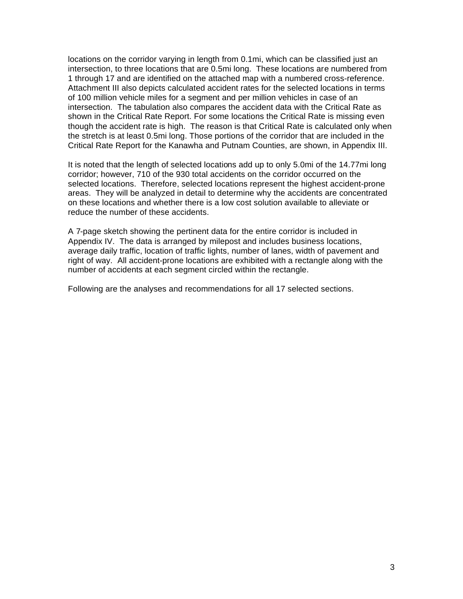locations on the corridor varying in length from 0.1mi, which can be classified just an intersection, to three locations that are 0.5mi long. These locations are numbered from 1 through 17 and are identified on the attached map with a numbered cross-reference. Attachment III also depicts calculated accident rates for the selected locations in terms of 100 million vehicle miles for a segment and per million vehicles in case of an intersection. The tabulation also compares the accident data with the Critical Rate as shown in the Critical Rate Report. For some locations the Critical Rate is missing even though the accident rate is high. The reason is that Critical Rate is calculated only when the stretch is at least 0.5mi long. Those portions of the corridor that are included in the Critical Rate Report for the Kanawha and Putnam Counties, are shown, in Appendix III.

It is noted that the length of selected locations add up to only 5.0mi of the 14.77mi long corridor; however, 710 of the 930 total accidents on the corridor occurred on the selected locations. Therefore, selected locations represent the highest accident-prone areas. They will be analyzed in detail to determine why the accidents are concentrated on these locations and whether there is a low cost solution available to alleviate or reduce the number of these accidents.

A 7-page sketch showing the pertinent data for the entire corridor is included in Appendix IV. The data is arranged by milepost and includes business locations, average daily traffic, location of traffic lights, number of lanes, width of pavement and right of way. All accident-prone locations are exhibited with a rectangle along with the number of accidents at each segment circled within the rectangle.

Following are the analyses and recommendations for all 17 selected sections.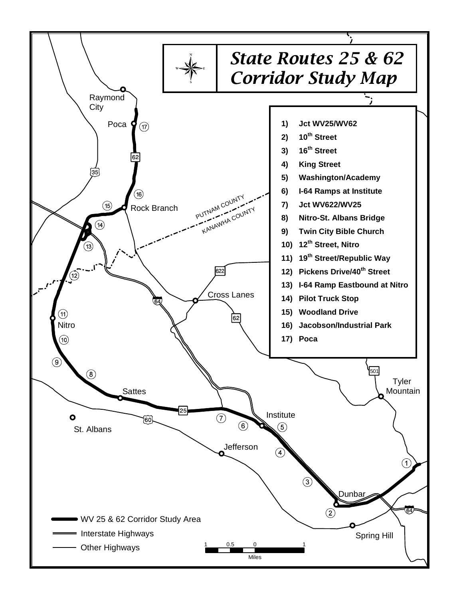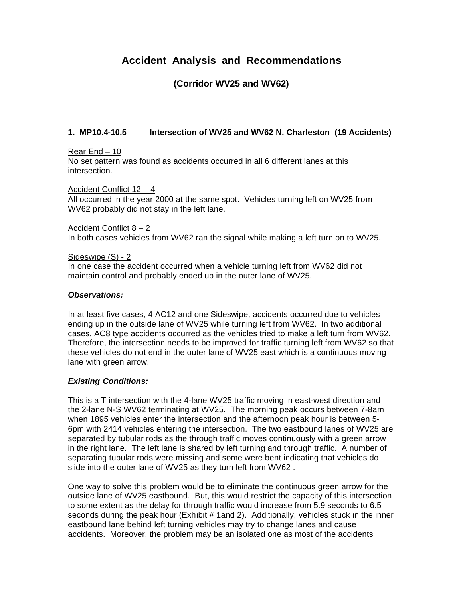# **Accident Analysis and Recommendations**

# **(Corridor WV25 and WV62)**

# **1. MP10.4-10.5 Intersection of WV25 and WV62 N. Charleston (19 Accidents)**

### Rear End – 10

No set pattern was found as accidents occurred in all 6 different lanes at this intersection.

### Accident Conflict 12 – 4

All occurred in the year 2000 at the same spot. Vehicles turning left on WV25 from WV62 probably did not stay in the left lane.

### Accident Conflict 8 – 2

In both cases vehicles from WV62 ran the signal while making a left turn on to WV25.

### Sideswipe (S) - 2

In one case the accident occurred when a vehicle turning left from WV62 did not maintain control and probably ended up in the outer lane of WV25.

### *Observations:*

In at least five cases, 4 AC12 and one Sideswipe, accidents occurred due to vehicles ending up in the outside lane of WV25 while turning left from WV62. In two additional cases, AC8 type accidents occurred as the vehicles tried to make a left turn from WV62. Therefore, the intersection needs to be improved for traffic turning left from WV62 so that these vehicles do not end in the outer lane of WV25 east which is a continuous moving lane with green arrow.

### *Existing Conditions:*

This is a T intersection with the 4-lane WV25 traffic moving in east-west direction and the 2-lane N-S WV62 terminating at WV25. The morning peak occurs between 7-8am when 1895 vehicles enter the intersection and the afternoon peak hour is between 5- 6pm with 2414 vehicles entering the intersection. The two eastbound lanes of WV25 are separated by tubular rods as the through traffic moves continuously with a green arrow in the right lane. The left lane is shared by left turning and through traffic. A number of separating tubular rods were missing and some were bent indicating that vehicles do slide into the outer lane of WV25 as they turn left from WV62 .

One way to solve this problem would be to eliminate the continuous green arrow for the outside lane of WV25 eastbound. But, this would restrict the capacity of this intersection to some extent as the delay for through traffic would increase from 5.9 seconds to 6.5 seconds during the peak hour (Exhibit # 1and 2). Additionally, vehicles stuck in the inner eastbound lane behind left turning vehicles may try to change lanes and cause accidents. Moreover, the problem may be an isolated one as most of the accidents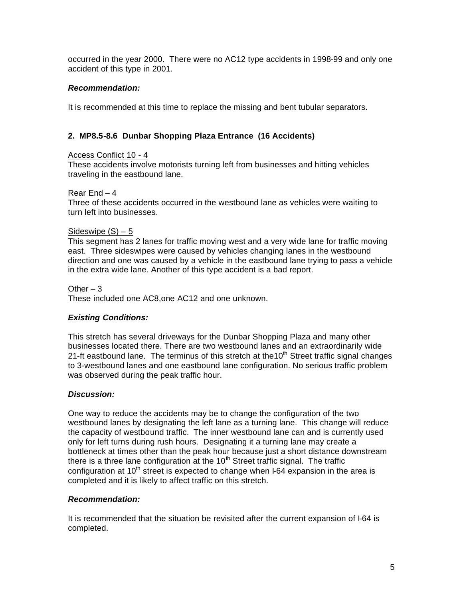occurred in the year 2000. There were no AC12 type accidents in 1998-99 and only one accident of this type in 2001.

# *Recommendation:*

It is recommended at this time to replace the missing and bent tubular separators.

# **2. MP8.5-8.6 Dunbar Shopping Plaza Entrance (16 Accidents)**

### Access Conflict 10 - 4

These accidents involve motorists turning left from businesses and hitting vehicles traveling in the eastbound lane.

### Rear End – 4

Three of these accidents occurred in the westbound lane as vehicles were waiting to turn left into businesses.

### Sideswipe  $(S) - 5$

This segment has 2 lanes for traffic moving west and a very wide lane for traffic moving east. Three sideswipes were caused by vehicles changing lanes in the westbound direction and one was caused by a vehicle in the eastbound lane trying to pass a vehicle in the extra wide lane. Another of this type accident is a bad report.

### Other  $-3$

These included one AC8,one AC12 and one unknown.

### *Existing Conditions:*

This stretch has several driveways for the Dunbar Shopping Plaza and many other businesses located there. There are two westbound lanes and an extraordinarily wide 21-ft eastbound lane. The terminus of this stretch at the10<sup>th</sup> Street traffic signal changes to 3-westbound lanes and one eastbound lane configuration. No serious traffic problem was observed during the peak traffic hour.

### *Discussion:*

One way to reduce the accidents may be to change the configuration of the two westbound lanes by designating the left lane as a turning lane. This change will reduce the capacity of westbound traffic. The inner westbound lane can and is currently used only for left turns during rush hours. Designating it a turning lane may create a bottleneck at times other than the peak hour because just a short distance downstream there is a three lane configuration at the  $10<sup>th</sup>$  Street traffic signal. The traffic configuration at  $10<sup>th</sup>$  street is expected to change when  $F64$  expansion in the area is completed and it is likely to affect traffic on this stretch.

### *Recommendation:*

It is recommended that the situation be revisited after the current expansion of I-64 is completed.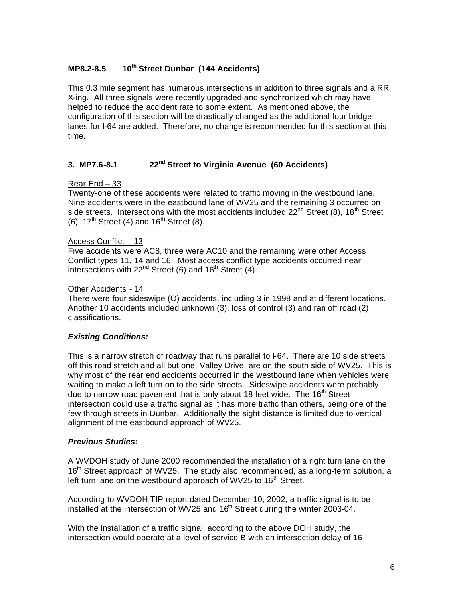# **MP8.2-8.5 10th Street Dunbar (144 Accidents)**

This 0.3 mile segment has numerous intersections in addition to three signals and a RR X-ing. All three signals were recently upgraded and synchronized which may have helped to reduce the accident rate to some extent. As mentioned above, the configuration of this section will be drastically changed as the additional four bridge lanes for I-64 are added. Therefore, no change is recommended for this section at this time.

# **3. MP7.6-8.1 22nd Street to Virginia Avenue (60 Accidents)**

# Rear End – 33

Twenty-one of these accidents were related to traffic moving in the westbound lane. Nine accidents were in the eastbound lane of WV25 and the remaining 3 occurred on side streets. Intersections with the most accidents included  $22^{nd}$  Street (8), 18<sup>th</sup> Street (6),  $17<sup>th</sup>$  Street (4) and  $16<sup>th</sup>$  Street (8).

# Access Conflict – 13

Five accidents were AC8, three were AC10 and the remaining were other Access Conflict types 11, 14 and 16. Most access conflict type accidents occurred near intersections with  $22<sup>nd</sup>$  Street (6) and  $16<sup>th</sup>$  Street (4).

# Other Accidents - 14

There were four sideswipe (O) accidents, including 3 in 1998 and at different locations. Another 10 accidents included unknown (3), loss of control (3) and ran off road (2) classifications.

# *Existing Conditions:*

This is a narrow stretch of roadway that runs parallel to I-64. There are 10 side streets off this road stretch and all but one, Valley Drive, are on the south side of WV25. This is why most of the rear end accidents occurred in the westbound lane when vehicles were waiting to make a left turn on to the side streets. Sideswipe accidents were probably due to narrow road pavement that is only about 18 feet wide. The 16<sup>th</sup> Street intersection could use a traffic signal as it has more traffic than others, being one of the few through streets in Dunbar. Additionally the sight distance is limited due to vertical alignment of the eastbound approach of WV25.

### *Previous Studies:*

A WVDOH study of June 2000 recommended the installation of a right turn lane on the  $16<sup>th</sup>$  Street approach of WV25. The study also recommended, as a long-term solution, a left turn lane on the westbound approach of WV25 to 16<sup>th</sup> Street.

According to WVDOH TIP report dated December 10, 2002, a traffic signal is to be installed at the intersection of WV25 and  $16<sup>th</sup>$  Street during the winter 2003-04.

With the installation of a traffic signal, according to the above DOH study, the intersection would operate at a level of service B with an intersection delay of 16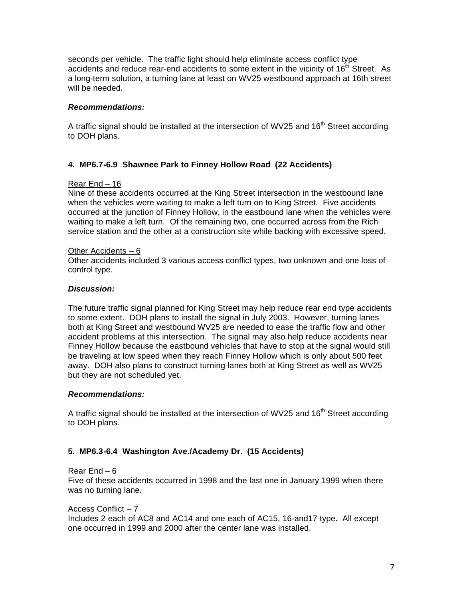seconds per vehicle. The traffic light should help eliminate access conflict type accidents and reduce rear-end accidents to some extent in the vicinity of  $16<sup>th</sup>$  Street. As a long-term solution, a turning lane at least on WV25 westbound approach at 16th street will be needed.

# *Recommendations:*

A traffic signal should be installed at the intersection of WV25 and  $16<sup>th</sup>$  Street according to DOH plans.

# **4. MP6.7-6.9 Shawnee Park to Finney Hollow Road (22 Accidents)**

# Rear End – 16

Nine of these accidents occurred at the King Street intersection in the westbound lane when the vehicles were waiting to make a left turn on to King Street. Five accidents occurred at the junction of Finney Hollow, in the eastbound lane when the vehicles were waiting to make a left turn. Of the remaining two, one occurred across from the Rich service station and the other at a construction site while backing with excessive speed.

### Other Accidents – 6

Other accidents included 3 various access conflict types, two unknown and one loss of control type.

### *Discussion:*

The future traffic signal planned for King Street may help reduce rear end type accidents to some extent. DOH plans to install the signal in July 2003. However, turning lanes both at King Street and westbound WV25 are needed to ease the traffic flow and other accident problems at this intersection. The signal may also help reduce accidents near Finney Hollow because the eastbound vehicles that have to stop at the signal would still be traveling at low speed when they reach Finney Hollow which is only about 500 feet away. DOH also plans to construct turning lanes both at King Street as well as WV25 but they are not scheduled yet.

### *Recommendations:*

A traffic signal should be installed at the intersection of WV25 and  $16<sup>th</sup>$  Street according to DOH plans.

### **5. MP6.3-6.4 Washington Ave./Academy Dr. (15 Accidents)**

### Rear End – 6

Five of these accidents occurred in 1998 and the last one in January 1999 when there was no turning lane.

### Access Conflict – 7

Includes 2 each of AC8 and AC14 and one each of AC15, 16-and17 type. All except one occurred in 1999 and 2000 after the center lane was installed.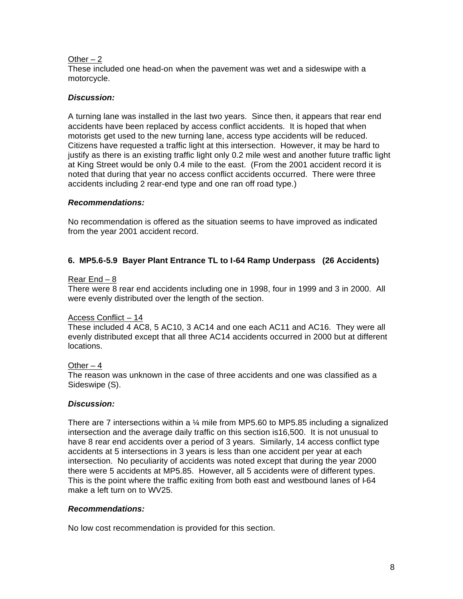# Other  $-2$

These included one head-on when the pavement was wet and a sideswipe with a motorcycle.

# *Discussion:*

A turning lane was installed in the last two years. Since then, it appears that rear end accidents have been replaced by access conflict accidents. It is hoped that when motorists get used to the new turning lane, access type accidents will be reduced. Citizens have requested a traffic light at this intersection. However, it may be hard to justify as there is an existing traffic light only 0.2 mile west and another future traffic light at King Street would be only 0.4 mile to the east. (From the 2001 accident record it is noted that during that year no access conflict accidents occurred. There were three accidents including 2 rear-end type and one ran off road type.)

# *Recommendations:*

No recommendation is offered as the situation seems to have improved as indicated from the year 2001 accident record.

# **6. MP5.6-5.9 Bayer Plant Entrance TL to I-64 Ramp Underpass (26 Accidents)**

# Rear End – 8

There were 8 rear end accidents including one in 1998, four in 1999 and 3 in 2000. All were evenly distributed over the length of the section.

# Access Conflict – 14

These included 4 AC8, 5 AC10, 3 AC14 and one each AC11 and AC16. They were all evenly distributed except that all three AC14 accidents occurred in 2000 but at different locations.

# Other  $-4$

The reason was unknown in the case of three accidents and one was classified as a Sideswipe (S).

# *Discussion:*

There are 7 intersections within a ¼ mile from MP5.60 to MP5.85 including a signalized intersection and the average daily traffic on this section is16,500. It is not unusual to have 8 rear end accidents over a period of 3 years. Similarly, 14 access conflict type accidents at 5 intersections in 3 years is less than one accident per year at each intersection. No peculiarity of accidents was noted except that during the year 2000 there were 5 accidents at MP5.85. However, all 5 accidents were of different types. This is the point where the traffic exiting from both east and westbound lanes of I-64 make a left turn on to WV25.

# *Recommendations:*

No low cost recommendation is provided for this section.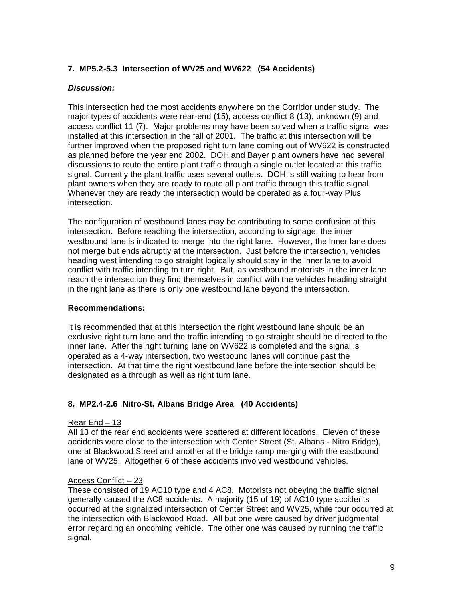# **7. MP5.2-5.3 Intersection of WV25 and WV622 (54 Accidents)**

# *Discussion:*

This intersection had the most accidents anywhere on the Corridor under study. The major types of accidents were rear-end (15), access conflict 8 (13), unknown (9) and access conflict 11 (7). Major problems may have been solved when a traffic signal was installed at this intersection in the fall of 2001. The traffic at this intersection will be further improved when the proposed right turn lane coming out of WV622 is constructed as planned before the year end 2002. DOH and Bayer plant owners have had several discussions to route the entire plant traffic through a single outlet located at this traffic signal. Currently the plant traffic uses several outlets. DOH is still waiting to hear from plant owners when they are ready to route all plant traffic through this traffic signal. Whenever they are ready the intersection would be operated as a four-way Plus intersection.

The configuration of westbound lanes may be contributing to some confusion at this intersection. Before reaching the intersection, according to signage, the inner westbound lane is indicated to merge into the right lane. However, the inner lane does not merge but ends abruptly at the intersection. Just before the intersection, vehicles heading west intending to go straight logically should stay in the inner lane to avoid conflict with traffic intending to turn right. But, as westbound motorists in the inner lane reach the intersection they find themselves in conflict with the vehicles heading straight in the right lane as there is only one westbound lane beyond the intersection.

### **Recommendations:**

It is recommended that at this intersection the right westbound lane should be an exclusive right turn lane and the traffic intending to go straight should be directed to the inner lane. After the right turning lane on WV622 is completed and the signal is operated as a 4-way intersection, two westbound lanes will continue past the intersection. At that time the right westbound lane before the intersection should be designated as a through as well as right turn lane.

# **8. MP2.4-2.6 Nitro-St. Albans Bridge Area (40 Accidents)**

### Rear End – 13

All 13 of the rear end accidents were scattered at different locations. Eleven of these accidents were close to the intersection with Center Street (St. Albans - Nitro Bridge), one at Blackwood Street and another at the bridge ramp merging with the eastbound lane of WV25. Altogether 6 of these accidents involved westbound vehicles.

### Access Conflict – 23

These consisted of 19 AC10 type and 4 AC8. Motorists not obeying the traffic signal generally caused the AC8 accidents. A majority (15 of 19) of AC10 type accidents occurred at the signalized intersection of Center Street and WV25, while four occurred at the intersection with Blackwood Road. All but one were caused by driver judgmental error regarding an oncoming vehicle. The other one was caused by running the traffic signal.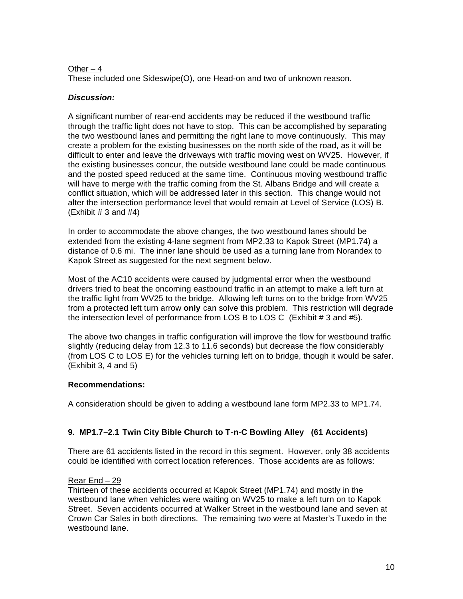# Other  $-4$

These included one Sideswipe(O), one Head-on and two of unknown reason.

# *Discussion:*

A significant number of rear-end accidents may be reduced if the westbound traffic through the traffic light does not have to stop. This can be accomplished by separating the two westbound lanes and permitting the right lane to move continuously. This may create a problem for the existing businesses on the north side of the road, as it will be difficult to enter and leave the driveways with traffic moving west on WV25. However, if the existing businesses concur, the outside westbound lane could be made continuous and the posted speed reduced at the same time. Continuous moving westbound traffic will have to merge with the traffic coming from the St. Albans Bridge and will create a conflict situation, which will be addressed later in this section. This change would not alter the intersection performance level that would remain at Level of Service (LOS) B.  $(Exhibit # 3 and #4)$ 

In order to accommodate the above changes, the two westbound lanes should be extended from the existing 4-lane segment from MP2.33 to Kapok Street (MP1.74) a distance of 0.6 mi. The inner lane should be used as a turning lane from Norandex to Kapok Street as suggested for the next segment below.

Most of the AC10 accidents were caused by judgmental error when the westbound drivers tried to beat the oncoming eastbound traffic in an attempt to make a left turn at the traffic light from WV25 to the bridge. Allowing left turns on to the bridge from WV25 from a protected left turn arrow **only** can solve this problem. This restriction will degrade the intersection level of performance from LOS B to LOS C (Exhibit # 3 and #5).

The above two changes in traffic configuration will improve the flow for westbound traffic slightly (reducing delay from 12.3 to 11.6 seconds) but decrease the flow considerably (from LOS C to LOS E) for the vehicles turning left on to bridge, though it would be safer. (Exhibit 3, 4 and 5)

# **Recommendations:**

A consideration should be given to adding a westbound lane form MP2.33 to MP1.74.

# **9. MP1.7–2.1 Twin City Bible Church to T-n-C Bowling Alley (61 Accidents)**

There are 61 accidents listed in the record in this segment. However, only 38 accidents could be identified with correct location references. Those accidents are as follows:

# Rear End – 29

Thirteen of these accidents occurred at Kapok Street (MP1.74) and mostly in the westbound lane when vehicles were waiting on WV25 to make a left turn on to Kapok Street. Seven accidents occurred at Walker Street in the westbound lane and seven at Crown Car Sales in both directions. The remaining two were at Master's Tuxedo in the westbound lane.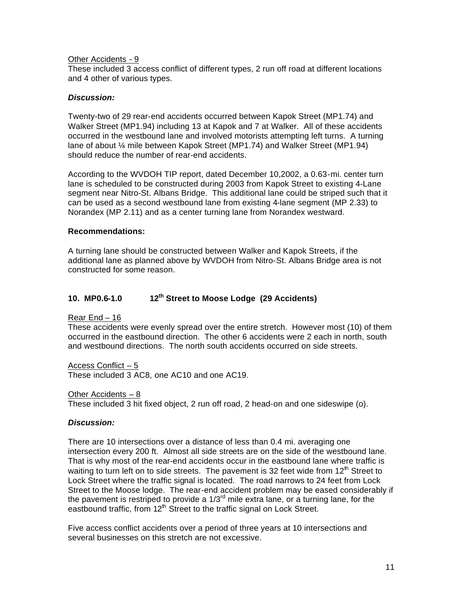### Other Accidents - 9

These included 3 access conflict of different types, 2 run off road at different locations and 4 other of various types.

### *Discussion:*

Twenty-two of 29 rear-end accidents occurred between Kapok Street (MP1.74) and Walker Street (MP1.94) including 13 at Kapok and 7 at Walker. All of these accidents occurred in the westbound lane and involved motorists attempting left turns. A turning lane of about ¼ mile between Kapok Street (MP1.74) and Walker Street (MP1.94) should reduce the number of rear-end accidents.

According to the WVDOH TIP report, dated December 10,2002, a 0.63-mi. center turn lane is scheduled to be constructed during 2003 from Kapok Street to existing 4-Lane segment near Nitro-St. Albans Bridge. This additional lane could be striped such that it can be used as a second westbound lane from existing 4-lane segment (MP 2.33) to Norandex (MP 2.11) and as a center turning lane from Norandex westward.

# **Recommendations:**

A turning lane should be constructed between Walker and Kapok Streets, if the additional lane as planned above by WVDOH from Nitro-St. Albans Bridge area is not constructed for some reason.

# **10. MP0.6-1.0 12th Street to Moose Lodge (29 Accidents)**

Rear End – 16

These accidents were evenly spread over the entire stretch. However most (10) of them occurred in the eastbound direction. The other 6 accidents were 2 each in north, south and westbound directions. The north south accidents occurred on side streets.

Access Conflict – 5 These included 3 AC8, one AC10 and one AC19.

Other Accidents – 8

These included 3 hit fixed object, 2 run off road, 2 head-on and one sideswipe (o).

### *Discussion:*

There are 10 intersections over a distance of less than 0.4 mi. averaging one intersection every 200 ft. Almost all side streets are on the side of the westbound lane. That is why most of the rear-end accidents occur in the eastbound lane where traffic is waiting to turn left on to side streets. The pavement is 32 feet wide from  $12<sup>th</sup>$  Street to Lock Street where the traffic signal is located. The road narrows to 24 feet from Lock Street to the Moose lodge. The rear-end accident problem may be eased considerably if the pavement is restriped to provide a  $1/3<sup>rd</sup>$  mile extra lane, or a turning lane, for the eastbound traffic, from 12<sup>th</sup> Street to the traffic signal on Lock Street.

Five access conflict accidents over a period of three years at 10 intersections and several businesses on this stretch are not excessive.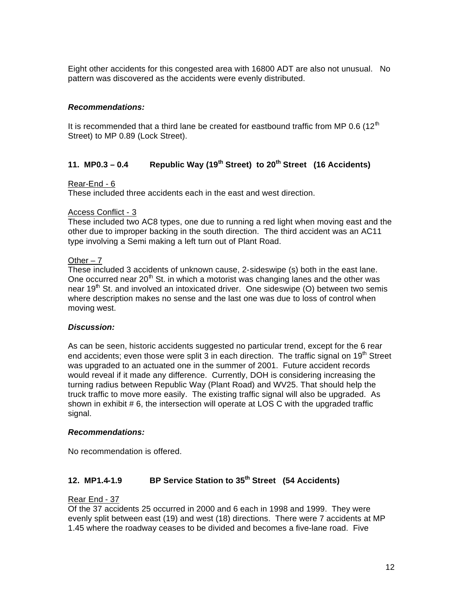Eight other accidents for this congested area with 16800 ADT are also not unusual. No pattern was discovered as the accidents were evenly distributed.

# *Recommendations:*

It is recommended that a third lane be created for eastbound traffic from MP 0.6 (12<sup>th</sup>) Street) to MP 0.89 (Lock Street).

# **11. MP0.3 – 0.4 Republic Way (19th Street) to 20th Street (16 Accidents)**

# Rear-End - 6

These included three accidents each in the east and west direction.

# Access Conflict - 3

These included two AC8 types, one due to running a red light when moving east and the other due to improper backing in the south direction. The third accident was an AC11 type involving a Semi making a left turn out of Plant Road.

# Other  $-7$

These included 3 accidents of unknown cause, 2-sideswipe (s) both in the east lane. One occurred near  $20<sup>th</sup>$  St. in which a motorist was changing lanes and the other was near 19<sup>th</sup> St. and involved an intoxicated driver. One sideswipe (O) between two semis where description makes no sense and the last one was due to loss of control when moving west.

### *Discussion:*

As can be seen, historic accidents suggested no particular trend, except for the 6 rear end accidents; even those were split 3 in each direction. The traffic signal on  $19<sup>th</sup>$  Street was upgraded to an actuated one in the summer of 2001. Future accident records would reveal if it made any difference. Currently, DOH is considering increasing the turning radius between Republic Way (Plant Road) and WV25. That should help the truck traffic to move more easily. The existing traffic signal will also be upgraded. As shown in exhibit  $# 6$ , the intersection will operate at LOS C with the upgraded traffic signal.

### *Recommendations:*

No recommendation is offered.

# **12. MP1.4-1.9 BP Service Station to 35th Street (54 Accidents)**

# Rear End - 37

Of the 37 accidents 25 occurred in 2000 and 6 each in 1998 and 1999. They were evenly split between east (19) and west (18) directions. There were 7 accidents at MP 1.45 where the roadway ceases to be divided and becomes a five-lane road. Five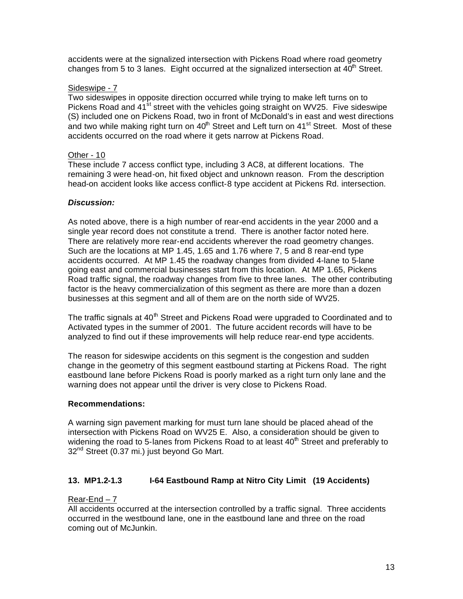accidents were at the signalized intersection with Pickens Road where road geometry changes from 5 to 3 lanes. Eight occurred at the signalized intersection at  $40<sup>th</sup>$  Street.

# Sideswipe - 7

Two sideswipes in opposite direction occurred while trying to make left turns on to Pickens Road and 41<sup>st</sup> street with the vehicles going straight on WV25. Five sideswipe (S) included one on Pickens Road, two in front of McDonald's in east and west directions and two while making right turn on  $40<sup>th</sup>$  Street and Left turn on  $41<sup>st</sup>$  Street. Most of these accidents occurred on the road where it gets narrow at Pickens Road.

# Other - 10

These include 7 access conflict type, including 3 AC8, at different locations. The remaining 3 were head-on, hit fixed object and unknown reason. From the description head-on accident looks like access conflict-8 type accident at Pickens Rd. intersection.

### *Discussion:*

As noted above, there is a high number of rear-end accidents in the year 2000 and a single year record does not constitute a trend. There is another factor noted here. There are relatively more rear-end accidents wherever the road geometry changes. Such are the locations at MP 1.45, 1.65 and 1.76 where 7, 5 and 8 rear-end type accidents occurred. At MP 1.45 the roadway changes from divided 4-lane to 5-lane going east and commercial businesses start from this location. At MP 1.65, Pickens Road traffic signal, the roadway changes from five to three lanes. The other contributing factor is the heavy commercialization of this segment as there are more than a dozen businesses at this segment and all of them are on the north side of WV25.

The traffic signals at 40<sup>th</sup> Street and Pickens Road were upgraded to Coordinated and to Activated types in the summer of 2001. The future accident records will have to be analyzed to find out if these improvements will help reduce rear-end type accidents.

The reason for sideswipe accidents on this segment is the congestion and sudden change in the geometry of this segment eastbound starting at Pickens Road. The right eastbound lane before Pickens Road is poorly marked as a right turn only lane and the warning does not appear until the driver is very close to Pickens Road.

### **Recommendations:**

A warning sign pavement marking for must turn lane should be placed ahead of the intersection with Pickens Road on WV25 E. Also, a consideration should be given to widening the road to 5-lanes from Pickens Road to at least  $40<sup>th</sup>$  Street and preferably to 32<sup>nd</sup> Street (0.37 mi.) just beyond Go Mart.

# **13. MP1.2-1.3 I-64 Eastbound Ramp at Nitro City Limit (19 Accidents)**

# Rear-End – 7

All accidents occurred at the intersection controlled by a traffic signal. Three accidents occurred in the westbound lane, one in the eastbound lane and three on the road coming out of McJunkin.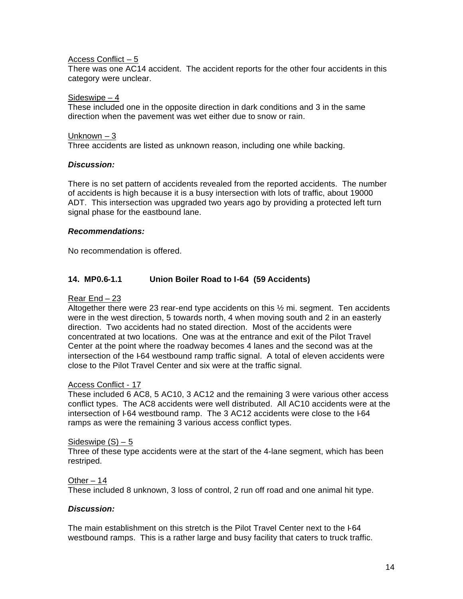### Access Conflict – 5

There was one AC14 accident. The accident reports for the other four accidents in this category were unclear.

#### Sideswipe – 4

These included one in the opposite direction in dark conditions and 3 in the same direction when the pavement was wet either due to snow or rain.

### Unknown – 3

Three accidents are listed as unknown reason, including one while backing.

### *Discussion:*

There is no set pattern of accidents revealed from the reported accidents. The number of accidents is high because it is a busy intersection with lots of traffic, about 19000 ADT. This intersection was upgraded two years ago by providing a protected left turn signal phase for the eastbound lane.

### *Recommendations:*

No recommendation is offered.

# **14. MP0.6-1.1 Union Boiler Road to I-64 (59 Accidents)**

### Rear End – 23

Altogether there were 23 rear-end type accidents on this  $\frac{1}{2}$  mi. segment. Ten accidents were in the west direction, 5 towards north, 4 when moving south and 2 in an easterly direction. Two accidents had no stated direction. Most of the accidents were concentrated at two locations. One was at the entrance and exit of the Pilot Travel Center at the point where the roadway becomes 4 lanes and the second was at the intersection of the I-64 westbound ramp traffic signal. A total of eleven accidents were close to the Pilot Travel Center and six were at the traffic signal.

### Access Conflict - 17

These included 6 AC8, 5 AC10, 3 AC12 and the remaining 3 were various other access conflict types. The AC8 accidents were well distributed. All AC10 accidents were at the intersection of I-64 westbound ramp. The 3 AC12 accidents were close to the I-64 ramps as were the remaining 3 various access conflict types.

#### Sideswipe  $(S) - 5$

Three of these type accidents were at the start of the 4-lane segment, which has been restriped.

#### Other – 14

These included 8 unknown, 3 loss of control, 2 run off road and one animal hit type.

#### *Discussion:*

The main establishment on this stretch is the Pilot Travel Center next to the I-64 westbound ramps. This is a rather large and busy facility that caters to truck traffic.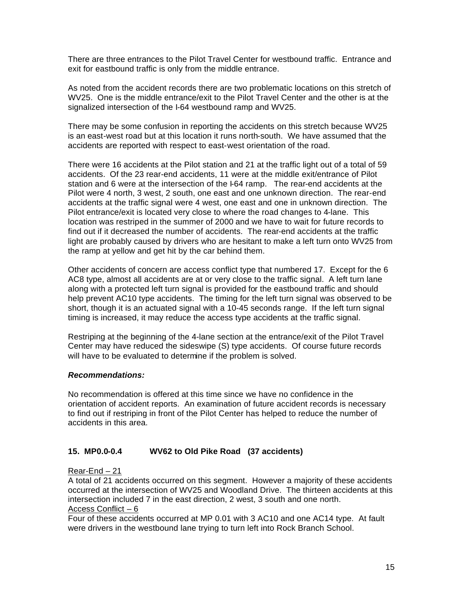There are three entrances to the Pilot Travel Center for westbound traffic. Entrance and exit for eastbound traffic is only from the middle entrance.

As noted from the accident records there are two problematic locations on this stretch of WV25. One is the middle entrance/exit to the Pilot Travel Center and the other is at the signalized intersection of the I-64 westbound ramp and WV25.

There may be some confusion in reporting the accidents on this stretch because WV25 is an east-west road but at this location it runs north-south. We have assumed that the accidents are reported with respect to east-west orientation of the road.

There were 16 accidents at the Pilot station and 21 at the traffic light out of a total of 59 accidents. Of the 23 rear-end accidents, 11 were at the middle exit/entrance of Pilot station and 6 were at the intersection of the I-64 ramp. The rear-end accidents at the Pilot were 4 north, 3 west, 2 south, one east and one unknown direction. The rear-end accidents at the traffic signal were 4 west, one east and one in unknown direction. The Pilot entrance/exit is located very close to where the road changes to 4-lane. This location was restriped in the summer of 2000 and we have to wait for future records to find out if it decreased the number of accidents. The rear-end accidents at the traffic light are probably caused by drivers who are hesitant to make a left turn onto WV25 from the ramp at yellow and get hit by the car behind them.

Other accidents of concern are access conflict type that numbered 17. Except for the 6 AC8 type, almost all accidents are at or very close to the traffic signal. A left turn lane along with a protected left turn signal is provided for the eastbound traffic and should help prevent AC10 type accidents. The timing for the left turn signal was observed to be short, though it is an actuated signal with a 10-45 seconds range. If the left turn signal timing is increased, it may reduce the access type accidents at the traffic signal.

Restriping at the beginning of the 4-lane section at the entrance/exit of the Pilot Travel Center may have reduced the sideswipe (S) type accidents. Of course future records will have to be evaluated to determine if the problem is solved.

### *Recommendations:*

No recommendation is offered at this time since we have no confidence in the orientation of accident reports. An examination of future accident records is necessary to find out if restriping in front of the Pilot Center has helped to reduce the number of accidents in this area.

# **15. MP0.0-0.4 WV62 to Old Pike Road (37 accidents)**

### Rear-End – 21

A total of 21 accidents occurred on this segment. However a majority of these accidents occurred at the intersection of WV25 and Woodland Drive. The thirteen accidents at this intersection included 7 in the east direction, 2 west, 3 south and one north. Access Conflict – 6

Four of these accidents occurred at MP 0.01 with 3 AC10 and one AC14 type. At fault were drivers in the westbound lane trying to turn left into Rock Branch School.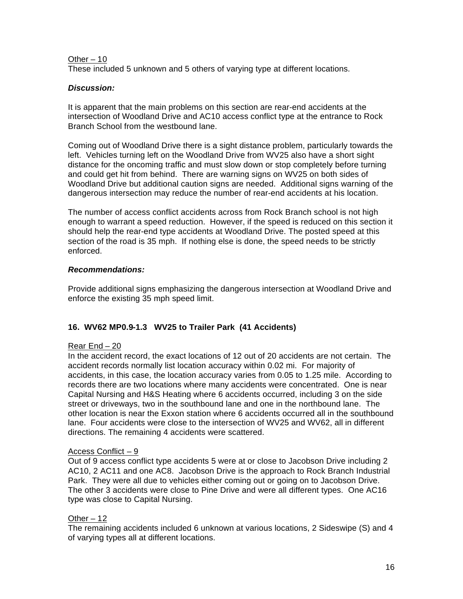# Other – 10

These included 5 unknown and 5 others of varying type at different locations.

# *Discussion:*

It is apparent that the main problems on this section are rear-end accidents at the intersection of Woodland Drive and AC10 access conflict type at the entrance to Rock Branch School from the westbound lane.

Coming out of Woodland Drive there is a sight distance problem, particularly towards the left. Vehicles turning left on the Woodland Drive from WV25 also have a short sight distance for the oncoming traffic and must slow down or stop completely before turning and could get hit from behind. There are warning signs on WV25 on both sides of Woodland Drive but additional caution signs are needed. Additional signs warning of the dangerous intersection may reduce the number of rear-end accidents at his location.

The number of access conflict accidents across from Rock Branch school is not high enough to warrant a speed reduction. However, if the speed is reduced on this section it should help the rear-end type accidents at Woodland Drive. The posted speed at this section of the road is 35 mph. If nothing else is done, the speed needs to be strictly enforced.

# *Recommendations:*

Provide additional signs emphasizing the dangerous intersection at Woodland Drive and enforce the existing 35 mph speed limit.

# **16. WV62 MP0.9-1.3 WV25 to Trailer Park (41 Accidents)**

# Rear End – 20

In the accident record, the exact locations of 12 out of 20 accidents are not certain. The accident records normally list location accuracy within 0.02 mi. For majority of accidents, in this case, the location accuracy varies from 0.05 to 1.25 mile. According to records there are two locations where many accidents were concentrated. One is near Capital Nursing and H&S Heating where 6 accidents occurred, including 3 on the side street or driveways, two in the southbound lane and one in the northbound lane. The other location is near the Exxon station where 6 accidents occurred all in the southbound lane. Four accidents were close to the intersection of WV25 and WV62, all in different directions. The remaining 4 accidents were scattered.

# Access Conflict – 9

Out of 9 access conflict type accidents 5 were at or close to Jacobson Drive including 2 AC10, 2 AC11 and one AC8. Jacobson Drive is the approach to Rock Branch Industrial Park. They were all due to vehicles either coming out or going on to Jacobson Drive. The other 3 accidents were close to Pine Drive and were all different types. One AC16 type was close to Capital Nursing.

# Other – 12

The remaining accidents included 6 unknown at various locations, 2 Sideswipe (S) and 4 of varying types all at different locations.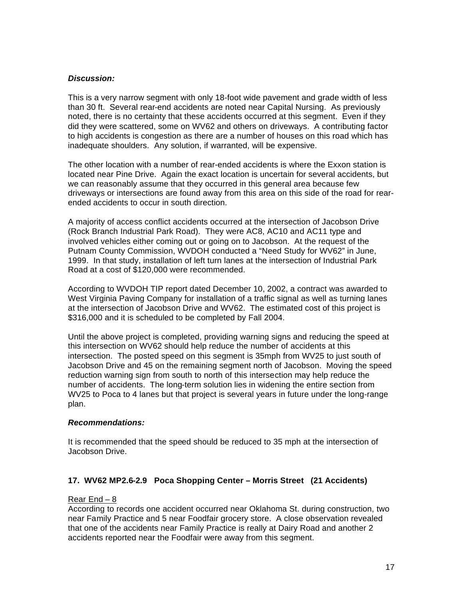### *Discussion:*

This is a very narrow segment with only 18-foot wide pavement and grade width of less than 30 ft. Several rear-end accidents are noted near Capital Nursing. As previously noted, there is no certainty that these accidents occurred at this segment. Even if they did they were scattered, some on WV62 and others on driveways. A contributing factor to high accidents is congestion as there are a number of houses on this road which has inadequate shoulders. Any solution, if warranted, will be expensive.

The other location with a number of rear-ended accidents is where the Exxon station is located near Pine Drive. Again the exact location is uncertain for several accidents, but we can reasonably assume that they occurred in this general area because few driveways or intersections are found away from this area on this side of the road for rearended accidents to occur in south direction.

A majority of access conflict accidents occurred at the intersection of Jacobson Drive (Rock Branch Industrial Park Road). They were AC8, AC10 and AC11 type and involved vehicles either coming out or going on to Jacobson. At the request of the Putnam County Commission, WVDOH conducted a "Need Study for WV62" in June, 1999. In that study, installation of left turn lanes at the intersection of Industrial Park Road at a cost of \$120,000 were recommended.

According to WVDOH TIP report dated December 10, 2002, a contract was awarded to West Virginia Paving Company for installation of a traffic signal as well as turning lanes at the intersection of Jacobson Drive and WV62. The estimated cost of this project is \$316,000 and it is scheduled to be completed by Fall 2004.

Until the above project is completed, providing warning signs and reducing the speed at this intersection on WV62 should help reduce the number of accidents at this intersection. The posted speed on this segment is 35mph from WV25 to just south of Jacobson Drive and 45 on the remaining segment north of Jacobson. Moving the speed reduction warning sign from south to north of this intersection may help reduce the number of accidents. The long-term solution lies in widening the entire section from WV25 to Poca to 4 lanes but that project is several years in future under the long-range plan.

### *Recommendations:*

It is recommended that the speed should be reduced to 35 mph at the intersection of Jacobson Drive.

# **17. WV62 MP2.6-2.9 Poca Shopping Center – Morris Street (21 Accidents)**

### Rear End – 8

According to records one accident occurred near Oklahoma St. during construction, two near Family Practice and 5 near Foodfair grocery store. A close observation revealed that one of the accidents near Family Practice is really at Dairy Road and another 2 accidents reported near the Foodfair were away from this segment.